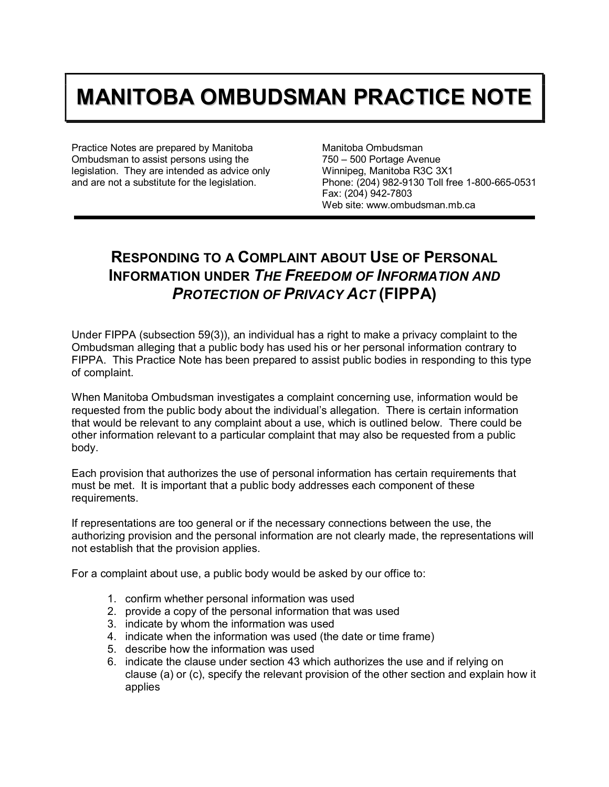## **MANITOBA OMBUDSMAN PRACTICE NOTE**

Practice Notes are prepared by Manitoba Ombudsman to assist persons using the legislation. They are intended as advice only and are not a substitute for the legislation.

Manitoba Ombudsman 750 – 500 Portage Avenue Winnipeg, Manitoba R3C 3X1 Phone: (204) 982-9130 Toll free 1-800-665-0531 Fax: (204) 942-7803 Web site: www.ombudsman.mb.ca

## **RESPONDING TO A COMPLAINT ABOUT USE OF PERSONAL INFORMATION UNDER** *THE FREEDOM OF INFORMATION AND PROTECTION OF PRIVACY ACT* **(FIPPA)**

Under FIPPA (subsection 59(3)), an individual has a right to make a privacy complaint to the Ombudsman alleging that a public body has used his or her personal information contrary to FIPPA. This Practice Note has been prepared to assist public bodies in responding to this type of complaint.

When Manitoba Ombudsman investigates a complaint concerning use, information would be requested from the public body about the individual's allegation. There is certain information that would be relevant to any complaint about a use, which is outlined below. There could be other information relevant to a particular complaint that may also be requested from a public body.

Each provision that authorizes the use of personal information has certain requirements that must be met. It is important that a public body addresses each component of these requirements.

If representations are too general or if the necessary connections between the use, the authorizing provision and the personal information are not clearly made, the representations will not establish that the provision applies.

For a complaint about use, a public body would be asked by our office to:

- 1. confirm whether personal information was used
- 2. provide a copy of the personal information that was used
- 3. indicate by whom the information was used
- 4. indicate when the information was used (the date or time frame)
- 5. describe how the information was used
- 6. indicate the clause under section 43 which authorizes the use and if relying on clause (a) or (c), specify the relevant provision of the other section and explain how it applies